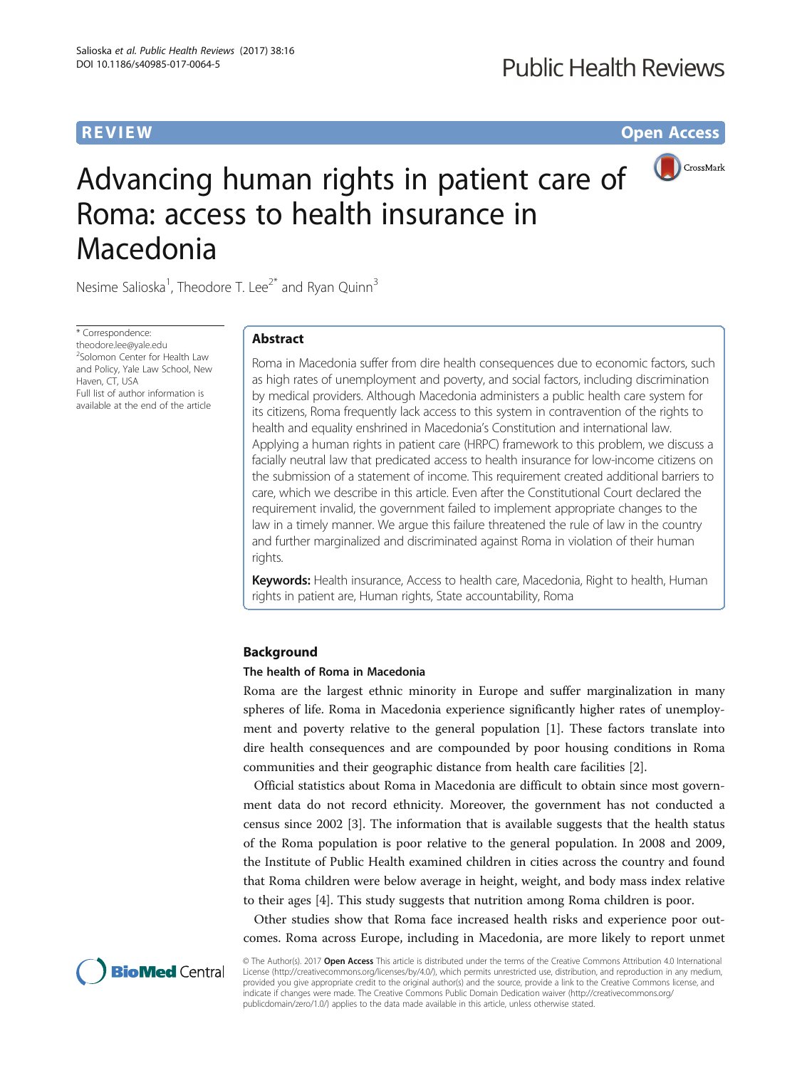## **REVIEW REVIEW** *REVIEW*



# Advancing human rights in patient care of Roma: access to health insurance in Macedonia

Nesime Salioska<sup>1</sup>, Theodore T. Lee<sup>2\*</sup> and Ryan Quinn<sup>3</sup>

\* Correspondence: [theodore.lee@yale.edu](mailto:theodore.lee@yale.edu) 2 Solomon Center for Health Law and Policy, Yale Law School, New Haven, CT, USA Full list of author information is available at the end of the article

## Abstract

Roma in Macedonia suffer from dire health consequences due to economic factors, such as high rates of unemployment and poverty, and social factors, including discrimination by medical providers. Although Macedonia administers a public health care system for its citizens, Roma frequently lack access to this system in contravention of the rights to health and equality enshrined in Macedonia's Constitution and international law. Applying a human rights in patient care (HRPC) framework to this problem, we discuss a facially neutral law that predicated access to health insurance for low-income citizens on the submission of a statement of income. This requirement created additional barriers to care, which we describe in this article. Even after the Constitutional Court declared the requirement invalid, the government failed to implement appropriate changes to the law in a timely manner. We argue this failure threatened the rule of law in the country and further marginalized and discriminated against Roma in violation of their human rights.

Keywords: Health insurance, Access to health care, Macedonia, Right to health, Human rights in patient are, Human rights, State accountability, Roma

## Background

## The health of Roma in Macedonia

Roma are the largest ethnic minority in Europe and suffer marginalization in many spheres of life. Roma in Macedonia experience significantly higher rates of unemployment and poverty relative to the general population [[1\]](#page-9-0). These factors translate into dire health consequences and are compounded by poor housing conditions in Roma communities and their geographic distance from health care facilities [\[2](#page-9-0)].

Official statistics about Roma in Macedonia are difficult to obtain since most government data do not record ethnicity. Moreover, the government has not conducted a census since 2002 [\[3](#page-9-0)]. The information that is available suggests that the health status of the Roma population is poor relative to the general population. In 2008 and 2009, the Institute of Public Health examined children in cities across the country and found that Roma children were below average in height, weight, and body mass index relative to their ages [\[4](#page-9-0)]. This study suggests that nutrition among Roma children is poor.

Other studies show that Roma face increased health risks and experience poor outcomes. Roma across Europe, including in Macedonia, are more likely to report unmet



© The Author(s). 2017 Open Access This article is distributed under the terms of the Creative Commons Attribution 4.0 International License ([http://creativecommons.org/licenses/by/4.0/\)](http://creativecommons.org/licenses/by/4.0/), which permits unrestricted use, distribution, and reproduction in any medium, provided you give appropriate credit to the original author(s) and the source, provide a link to the Creative Commons license, and indicate if changes were made. The Creative Commons Public Domain Dedication waiver ([http://creativecommons.org/](http://creativecommons.org/publicdomain/zero/1.0/) [publicdomain/zero/1.0/\)](http://creativecommons.org/publicdomain/zero/1.0/) applies to the data made available in this article, unless otherwise stated.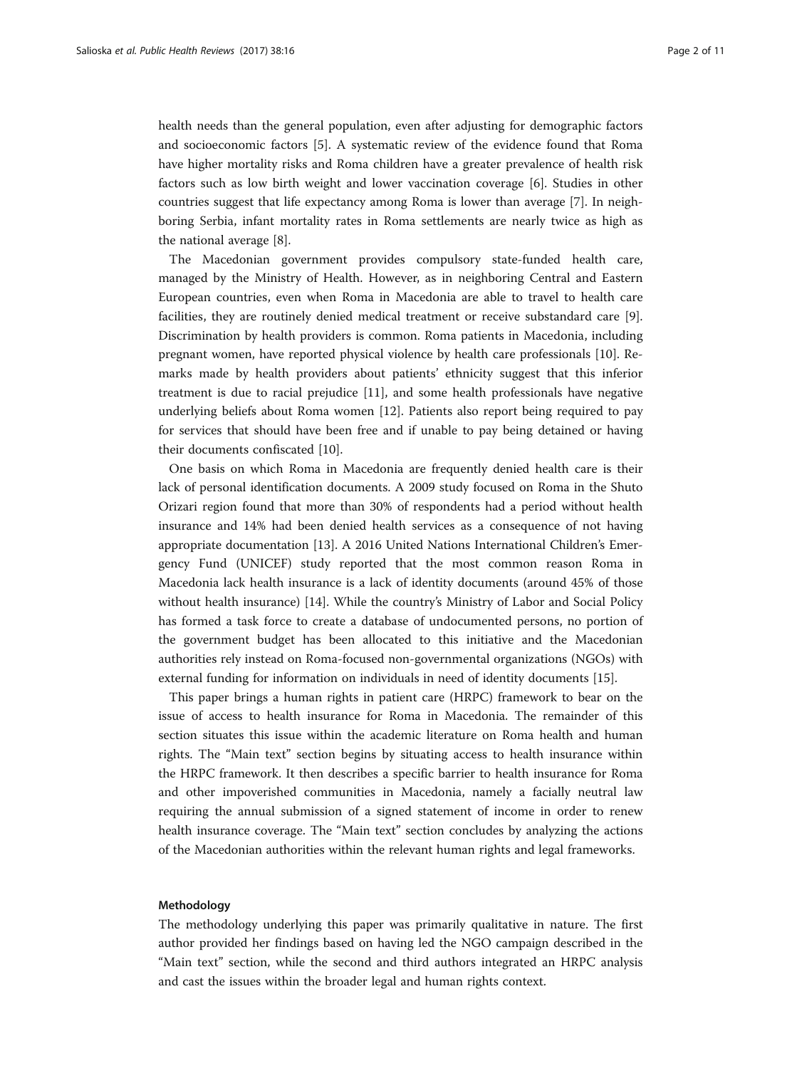health needs than the general population, even after adjusting for demographic factors and socioeconomic factors [[5\]](#page-9-0). A systematic review of the evidence found that Roma have higher mortality risks and Roma children have a greater prevalence of health risk factors such as low birth weight and lower vaccination coverage [\[6](#page-9-0)]. Studies in other countries suggest that life expectancy among Roma is lower than average [\[7](#page-9-0)]. In neighboring Serbia, infant mortality rates in Roma settlements are nearly twice as high as the national average [[8\]](#page-9-0).

The Macedonian government provides compulsory state-funded health care, managed by the Ministry of Health. However, as in neighboring Central and Eastern European countries, even when Roma in Macedonia are able to travel to health care facilities, they are routinely denied medical treatment or receive substandard care [\[9](#page-10-0)]. Discrimination by health providers is common. Roma patients in Macedonia, including pregnant women, have reported physical violence by health care professionals [\[10](#page-10-0)]. Remarks made by health providers about patients' ethnicity suggest that this inferior treatment is due to racial prejudice [\[11\]](#page-10-0), and some health professionals have negative underlying beliefs about Roma women [[12\]](#page-10-0). Patients also report being required to pay for services that should have been free and if unable to pay being detained or having their documents confiscated [[10](#page-10-0)].

One basis on which Roma in Macedonia are frequently denied health care is their lack of personal identification documents. A 2009 study focused on Roma in the Shuto Orizari region found that more than 30% of respondents had a period without health insurance and 14% had been denied health services as a consequence of not having appropriate documentation [[13\]](#page-10-0). A 2016 United Nations International Children's Emergency Fund (UNICEF) study reported that the most common reason Roma in Macedonia lack health insurance is a lack of identity documents (around 45% of those without health insurance) [\[14](#page-10-0)]. While the country's Ministry of Labor and Social Policy has formed a task force to create a database of undocumented persons, no portion of the government budget has been allocated to this initiative and the Macedonian authorities rely instead on Roma-focused non-governmental organizations (NGOs) with external funding for information on individuals in need of identity documents [[15](#page-10-0)].

This paper brings a human rights in patient care (HRPC) framework to bear on the issue of access to health insurance for Roma in Macedonia. The remainder of this section situates this issue within the academic literature on Roma health and human rights. The "[Main text](#page-3-0)" section begins by situating access to health insurance within the HRPC framework. It then describes a specific barrier to health insurance for Roma and other impoverished communities in Macedonia, namely a facially neutral law requiring the annual submission of a signed statement of income in order to renew health insurance coverage. The "[Main text](#page-3-0)" section concludes by analyzing the actions of the Macedonian authorities within the relevant human rights and legal frameworks.

## Methodology

The methodology underlying this paper was primarily qualitative in nature. The first author provided her findings based on having led the NGO campaign described in the "[Main text](#page-3-0)" section, while the second and third authors integrated an HRPC analysis and cast the issues within the broader legal and human rights context.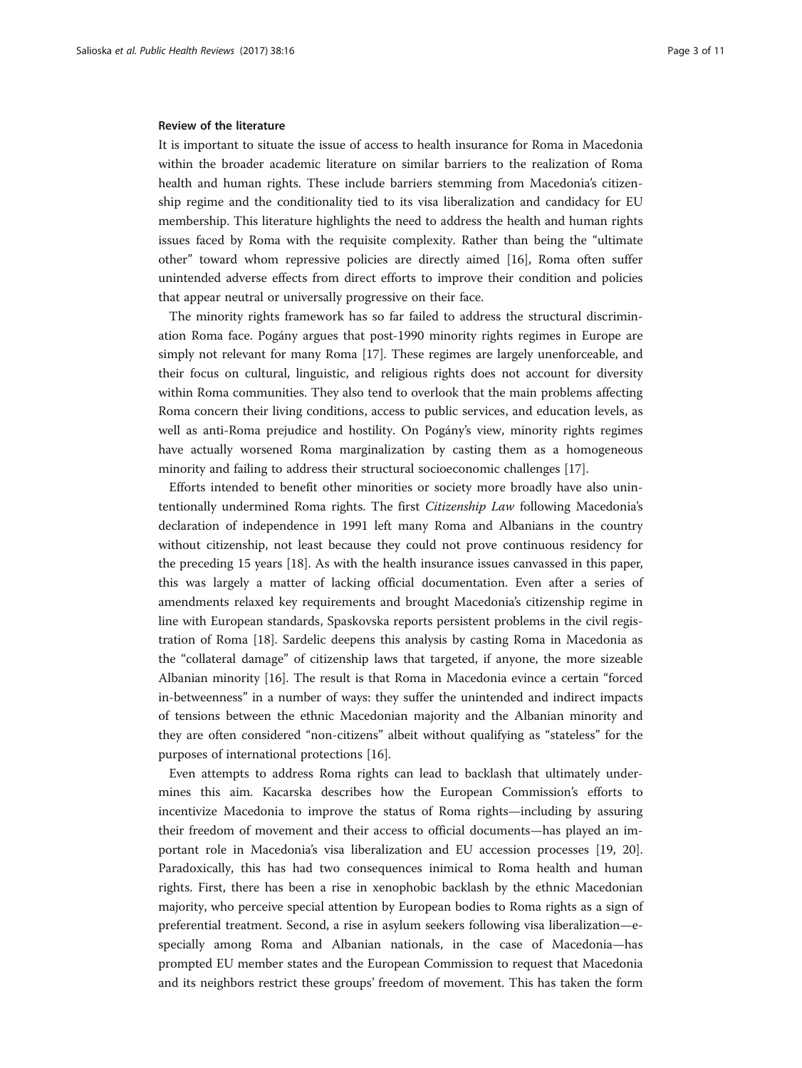## Review of the literature

It is important to situate the issue of access to health insurance for Roma in Macedonia within the broader academic literature on similar barriers to the realization of Roma health and human rights. These include barriers stemming from Macedonia's citizenship regime and the conditionality tied to its visa liberalization and candidacy for EU membership. This literature highlights the need to address the health and human rights issues faced by Roma with the requisite complexity. Rather than being the "ultimate other" toward whom repressive policies are directly aimed [[16](#page-10-0)], Roma often suffer unintended adverse effects from direct efforts to improve their condition and policies that appear neutral or universally progressive on their face.

The minority rights framework has so far failed to address the structural discrimination Roma face. Pogány argues that post-1990 minority rights regimes in Europe are simply not relevant for many Roma [\[17\]](#page-10-0). These regimes are largely unenforceable, and their focus on cultural, linguistic, and religious rights does not account for diversity within Roma communities. They also tend to overlook that the main problems affecting Roma concern their living conditions, access to public services, and education levels, as well as anti-Roma prejudice and hostility. On Pogány's view, minority rights regimes have actually worsened Roma marginalization by casting them as a homogeneous minority and failing to address their structural socioeconomic challenges [\[17](#page-10-0)].

Efforts intended to benefit other minorities or society more broadly have also unintentionally undermined Roma rights. The first Citizenship Law following Macedonia's declaration of independence in 1991 left many Roma and Albanians in the country without citizenship, not least because they could not prove continuous residency for the preceding 15 years [[18\]](#page-10-0). As with the health insurance issues canvassed in this paper, this was largely a matter of lacking official documentation. Even after a series of amendments relaxed key requirements and brought Macedonia's citizenship regime in line with European standards, Spaskovska reports persistent problems in the civil registration of Roma [\[18\]](#page-10-0). Sardelic deepens this analysis by casting Roma in Macedonia as the "collateral damage" of citizenship laws that targeted, if anyone, the more sizeable Albanian minority [[16](#page-10-0)]. The result is that Roma in Macedonia evince a certain "forced in-betweenness" in a number of ways: they suffer the unintended and indirect impacts of tensions between the ethnic Macedonian majority and the Albanian minority and they are often considered "non-citizens" albeit without qualifying as "stateless" for the purposes of international protections [\[16](#page-10-0)].

Even attempts to address Roma rights can lead to backlash that ultimately undermines this aim. Kacarska describes how the European Commission's efforts to incentivize Macedonia to improve the status of Roma rights—including by assuring their freedom of movement and their access to official documents—has played an important role in Macedonia's visa liberalization and EU accession processes [[19](#page-10-0), [20](#page-10-0)]. Paradoxically, this has had two consequences inimical to Roma health and human rights. First, there has been a rise in xenophobic backlash by the ethnic Macedonian majority, who perceive special attention by European bodies to Roma rights as a sign of preferential treatment. Second, a rise in asylum seekers following visa liberalization—especially among Roma and Albanian nationals, in the case of Macedonia—has prompted EU member states and the European Commission to request that Macedonia and its neighbors restrict these groups' freedom of movement. This has taken the form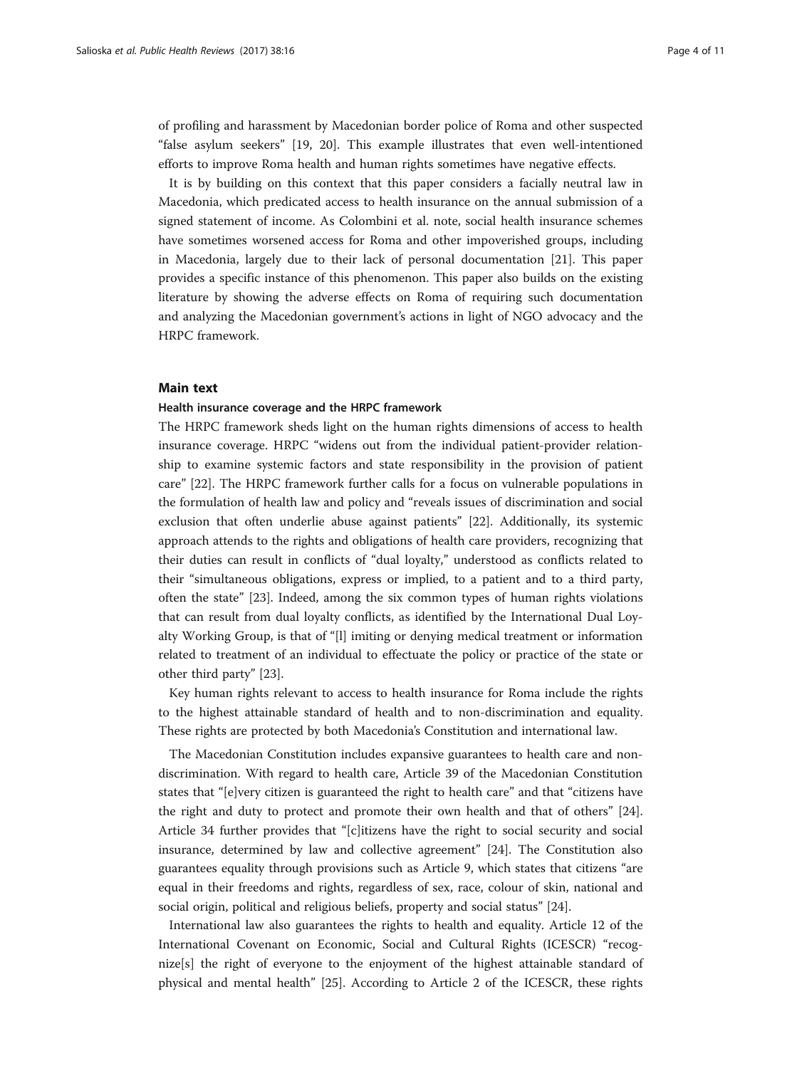<span id="page-3-0"></span>of profiling and harassment by Macedonian border police of Roma and other suspected "false asylum seekers" [\[19, 20](#page-10-0)]. This example illustrates that even well-intentioned efforts to improve Roma health and human rights sometimes have negative effects.

It is by building on this context that this paper considers a facially neutral law in Macedonia, which predicated access to health insurance on the annual submission of a signed statement of income. As Colombini et al. note, social health insurance schemes have sometimes worsened access for Roma and other impoverished groups, including in Macedonia, largely due to their lack of personal documentation [\[21](#page-10-0)]. This paper provides a specific instance of this phenomenon. This paper also builds on the existing literature by showing the adverse effects on Roma of requiring such documentation and analyzing the Macedonian government's actions in light of NGO advocacy and the HRPC framework.

## Main text

## Health insurance coverage and the HRPC framework

The HRPC framework sheds light on the human rights dimensions of access to health insurance coverage. HRPC "widens out from the individual patient-provider relationship to examine systemic factors and state responsibility in the provision of patient care" [[22](#page-10-0)]. The HRPC framework further calls for a focus on vulnerable populations in the formulation of health law and policy and "reveals issues of discrimination and social exclusion that often underlie abuse against patients" [\[22\]](#page-10-0). Additionally, its systemic approach attends to the rights and obligations of health care providers, recognizing that their duties can result in conflicts of "dual loyalty," understood as conflicts related to their "simultaneous obligations, express or implied, to a patient and to a third party, often the state" [[23\]](#page-10-0). Indeed, among the six common types of human rights violations that can result from dual loyalty conflicts, as identified by the International Dual Loyalty Working Group, is that of "[l] imiting or denying medical treatment or information related to treatment of an individual to effectuate the policy or practice of the state or other third party" [[23\]](#page-10-0).

Key human rights relevant to access to health insurance for Roma include the rights to the highest attainable standard of health and to non-discrimination and equality. These rights are protected by both Macedonia's Constitution and international law.

The Macedonian Constitution includes expansive guarantees to health care and nondiscrimination. With regard to health care, Article 39 of the Macedonian Constitution states that "[e]very citizen is guaranteed the right to health care" and that "citizens have the right and duty to protect and promote their own health and that of others" [[24](#page-10-0)]. Article 34 further provides that "[c]itizens have the right to social security and social insurance, determined by law and collective agreement" [[24\]](#page-10-0). The Constitution also guarantees equality through provisions such as Article 9, which states that citizens "are equal in their freedoms and rights, regardless of sex, race, colour of skin, national and social origin, political and religious beliefs, property and social status" [\[24](#page-10-0)].

International law also guarantees the rights to health and equality. Article 12 of the International Covenant on Economic, Social and Cultural Rights (ICESCR) "recognize[s] the right of everyone to the enjoyment of the highest attainable standard of physical and mental health" [[25](#page-10-0)]. According to Article 2 of the ICESCR, these rights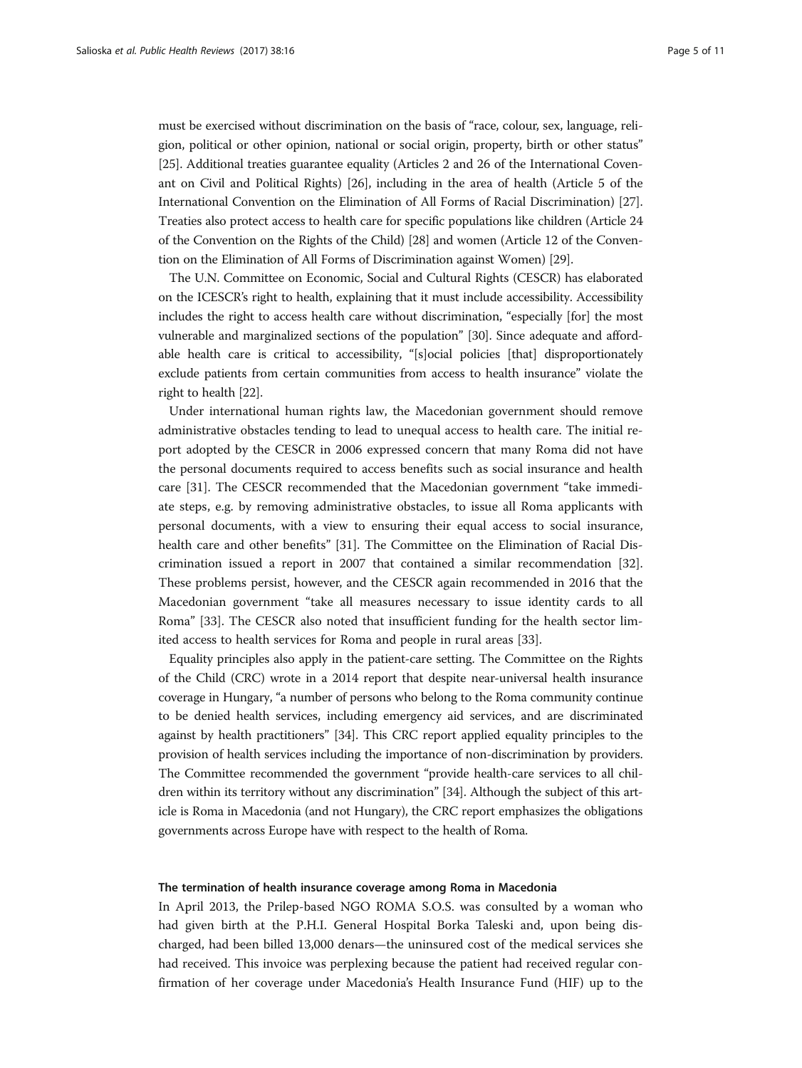must be exercised without discrimination on the basis of "race, colour, sex, language, religion, political or other opinion, national or social origin, property, birth or other status" [[25](#page-10-0)]. Additional treaties guarantee equality (Articles 2 and 26 of the International Covenant on Civil and Political Rights) [[26\]](#page-10-0), including in the area of health (Article 5 of the International Convention on the Elimination of All Forms of Racial Discrimination) [[27](#page-10-0)]. Treaties also protect access to health care for specific populations like children (Article 24 of the Convention on the Rights of the Child) [\[28](#page-10-0)] and women (Article 12 of the Convention on the Elimination of All Forms of Discrimination against Women) [\[29\]](#page-10-0).

The U.N. Committee on Economic, Social and Cultural Rights (CESCR) has elaborated on the ICESCR's right to health, explaining that it must include accessibility. Accessibility includes the right to access health care without discrimination, "especially [for] the most vulnerable and marginalized sections of the population" [[30](#page-10-0)]. Since adequate and affordable health care is critical to accessibility, "[s]ocial policies [that] disproportionately exclude patients from certain communities from access to health insurance" violate the right to health [\[22\]](#page-10-0).

Under international human rights law, the Macedonian government should remove administrative obstacles tending to lead to unequal access to health care. The initial report adopted by the CESCR in 2006 expressed concern that many Roma did not have the personal documents required to access benefits such as social insurance and health care [\[31](#page-10-0)]. The CESCR recommended that the Macedonian government "take immediate steps, e.g. by removing administrative obstacles, to issue all Roma applicants with personal documents, with a view to ensuring their equal access to social insurance, health care and other benefits" [\[31](#page-10-0)]. The Committee on the Elimination of Racial Discrimination issued a report in 2007 that contained a similar recommendation [[32](#page-10-0)]. These problems persist, however, and the CESCR again recommended in 2016 that the Macedonian government "take all measures necessary to issue identity cards to all Roma" [[33](#page-10-0)]. The CESCR also noted that insufficient funding for the health sector limited access to health services for Roma and people in rural areas [\[33](#page-10-0)].

Equality principles also apply in the patient-care setting. The Committee on the Rights of the Child (CRC) wrote in a 2014 report that despite near-universal health insurance coverage in Hungary, "a number of persons who belong to the Roma community continue to be denied health services, including emergency aid services, and are discriminated against by health practitioners" [\[34\]](#page-10-0). This CRC report applied equality principles to the provision of health services including the importance of non-discrimination by providers. The Committee recommended the government "provide health-care services to all children within its territory without any discrimination" [[34](#page-10-0)]. Although the subject of this article is Roma in Macedonia (and not Hungary), the CRC report emphasizes the obligations governments across Europe have with respect to the health of Roma.

#### The termination of health insurance coverage among Roma in Macedonia

In April 2013, the Prilep-based NGO ROMA S.O.S. was consulted by a woman who had given birth at the P.H.I. General Hospital Borka Taleski and, upon being discharged, had been billed 13,000 denars—the uninsured cost of the medical services she had received. This invoice was perplexing because the patient had received regular confirmation of her coverage under Macedonia's Health Insurance Fund (HIF) up to the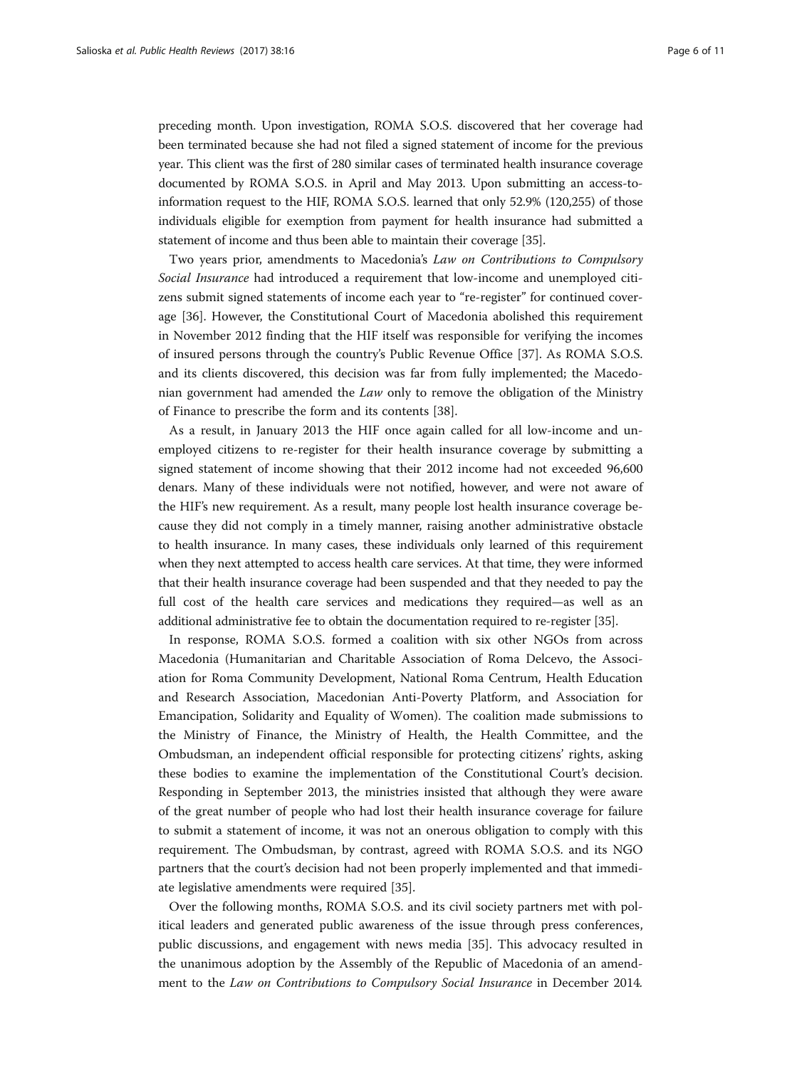preceding month. Upon investigation, ROMA S.O.S. discovered that her coverage had been terminated because she had not filed a signed statement of income for the previous year. This client was the first of 280 similar cases of terminated health insurance coverage documented by ROMA S.O.S. in April and May 2013. Upon submitting an access-toinformation request to the HIF, ROMA S.O.S. learned that only 52.9% (120,255) of those individuals eligible for exemption from payment for health insurance had submitted a statement of income and thus been able to maintain their coverage [[35](#page-10-0)].

Two years prior, amendments to Macedonia's Law on Contributions to Compulsory Social Insurance had introduced a requirement that low-income and unemployed citizens submit signed statements of income each year to "re-register" for continued coverage [\[36\]](#page-10-0). However, the Constitutional Court of Macedonia abolished this requirement in November 2012 finding that the HIF itself was responsible for verifying the incomes of insured persons through the country's Public Revenue Office [\[37](#page-10-0)]. As ROMA S.O.S. and its clients discovered, this decision was far from fully implemented; the Macedonian government had amended the Law only to remove the obligation of the Ministry of Finance to prescribe the form and its contents [[38\]](#page-10-0).

As a result, in January 2013 the HIF once again called for all low-income and unemployed citizens to re-register for their health insurance coverage by submitting a signed statement of income showing that their 2012 income had not exceeded 96,600 denars. Many of these individuals were not notified, however, and were not aware of the HIF's new requirement. As a result, many people lost health insurance coverage because they did not comply in a timely manner, raising another administrative obstacle to health insurance. In many cases, these individuals only learned of this requirement when they next attempted to access health care services. At that time, they were informed that their health insurance coverage had been suspended and that they needed to pay the full cost of the health care services and medications they required—as well as an additional administrative fee to obtain the documentation required to re-register [\[35](#page-10-0)].

In response, ROMA S.O.S. formed a coalition with six other NGOs from across Macedonia (Humanitarian and Charitable Association of Roma Delcevo, the Association for Roma Community Development, National Roma Centrum, Health Education and Research Association, Macedonian Anti-Poverty Platform, and Association for Emancipation, Solidarity and Equality of Women). The coalition made submissions to the Ministry of Finance, the Ministry of Health, the Health Committee, and the Ombudsman, an independent official responsible for protecting citizens' rights, asking these bodies to examine the implementation of the Constitutional Court's decision. Responding in September 2013, the ministries insisted that although they were aware of the great number of people who had lost their health insurance coverage for failure to submit a statement of income, it was not an onerous obligation to comply with this requirement. The Ombudsman, by contrast, agreed with ROMA S.O.S. and its NGO partners that the court's decision had not been properly implemented and that immediate legislative amendments were required [\[35](#page-10-0)].

Over the following months, ROMA S.O.S. and its civil society partners met with political leaders and generated public awareness of the issue through press conferences, public discussions, and engagement with news media [\[35](#page-10-0)]. This advocacy resulted in the unanimous adoption by the Assembly of the Republic of Macedonia of an amendment to the Law on Contributions to Compulsory Social Insurance in December 2014.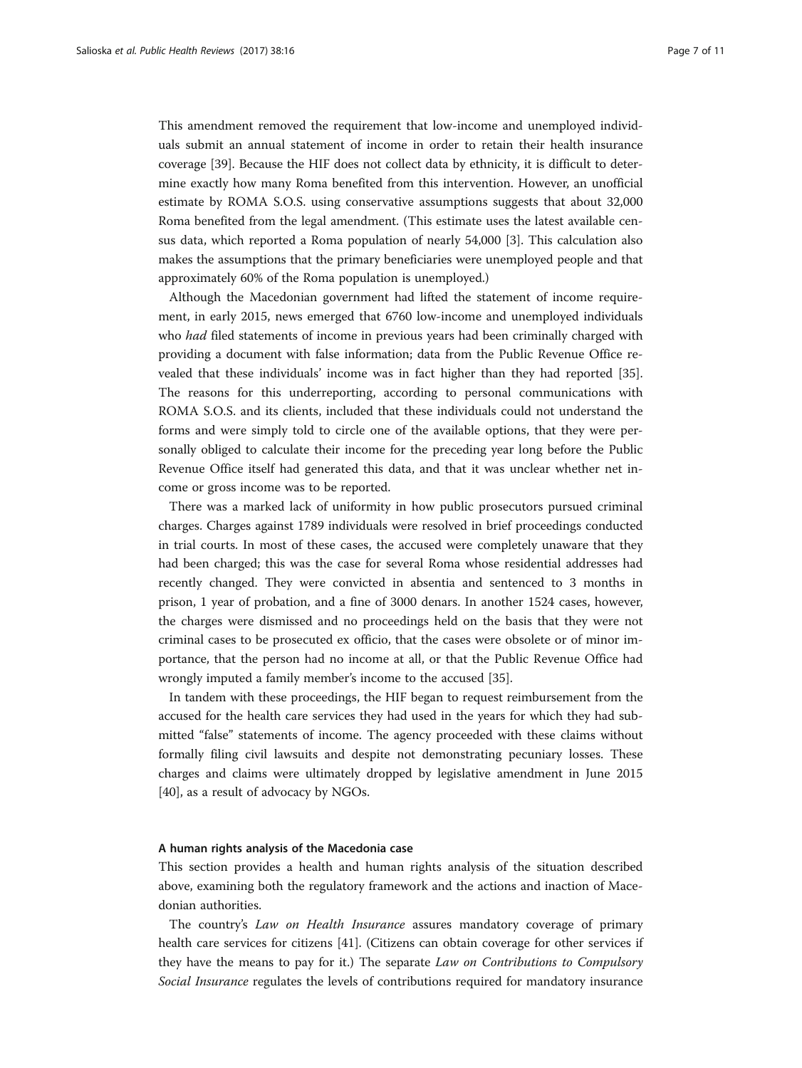This amendment removed the requirement that low-income and unemployed individuals submit an annual statement of income in order to retain their health insurance coverage [\[39](#page-10-0)]. Because the HIF does not collect data by ethnicity, it is difficult to determine exactly how many Roma benefited from this intervention. However, an unofficial estimate by ROMA S.O.S. using conservative assumptions suggests that about 32,000 Roma benefited from the legal amendment. (This estimate uses the latest available census data, which reported a Roma population of nearly 54,000 [[3\]](#page-9-0). This calculation also makes the assumptions that the primary beneficiaries were unemployed people and that approximately 60% of the Roma population is unemployed.)

Although the Macedonian government had lifted the statement of income requirement, in early 2015, news emerged that 6760 low-income and unemployed individuals who had filed statements of income in previous years had been criminally charged with providing a document with false information; data from the Public Revenue Office revealed that these individuals' income was in fact higher than they had reported [[35](#page-10-0)]. The reasons for this underreporting, according to personal communications with ROMA S.O.S. and its clients, included that these individuals could not understand the forms and were simply told to circle one of the available options, that they were personally obliged to calculate their income for the preceding year long before the Public Revenue Office itself had generated this data, and that it was unclear whether net income or gross income was to be reported.

There was a marked lack of uniformity in how public prosecutors pursued criminal charges. Charges against 1789 individuals were resolved in brief proceedings conducted in trial courts. In most of these cases, the accused were completely unaware that they had been charged; this was the case for several Roma whose residential addresses had recently changed. They were convicted in absentia and sentenced to 3 months in prison, 1 year of probation, and a fine of 3000 denars. In another 1524 cases, however, the charges were dismissed and no proceedings held on the basis that they were not criminal cases to be prosecuted ex officio, that the cases were obsolete or of minor importance, that the person had no income at all, or that the Public Revenue Office had wrongly imputed a family member's income to the accused [[35\]](#page-10-0).

In tandem with these proceedings, the HIF began to request reimbursement from the accused for the health care services they had used in the years for which they had submitted "false" statements of income. The agency proceeded with these claims without formally filing civil lawsuits and despite not demonstrating pecuniary losses. These charges and claims were ultimately dropped by legislative amendment in June 2015 [[40\]](#page-10-0), as a result of advocacy by NGOs.

## A human rights analysis of the Macedonia case

This section provides a health and human rights analysis of the situation described above, examining both the regulatory framework and the actions and inaction of Macedonian authorities.

The country's Law on Health Insurance assures mandatory coverage of primary health care services for citizens [[41](#page-10-0)]. (Citizens can obtain coverage for other services if they have the means to pay for it.) The separate Law on Contributions to Compulsory Social Insurance regulates the levels of contributions required for mandatory insurance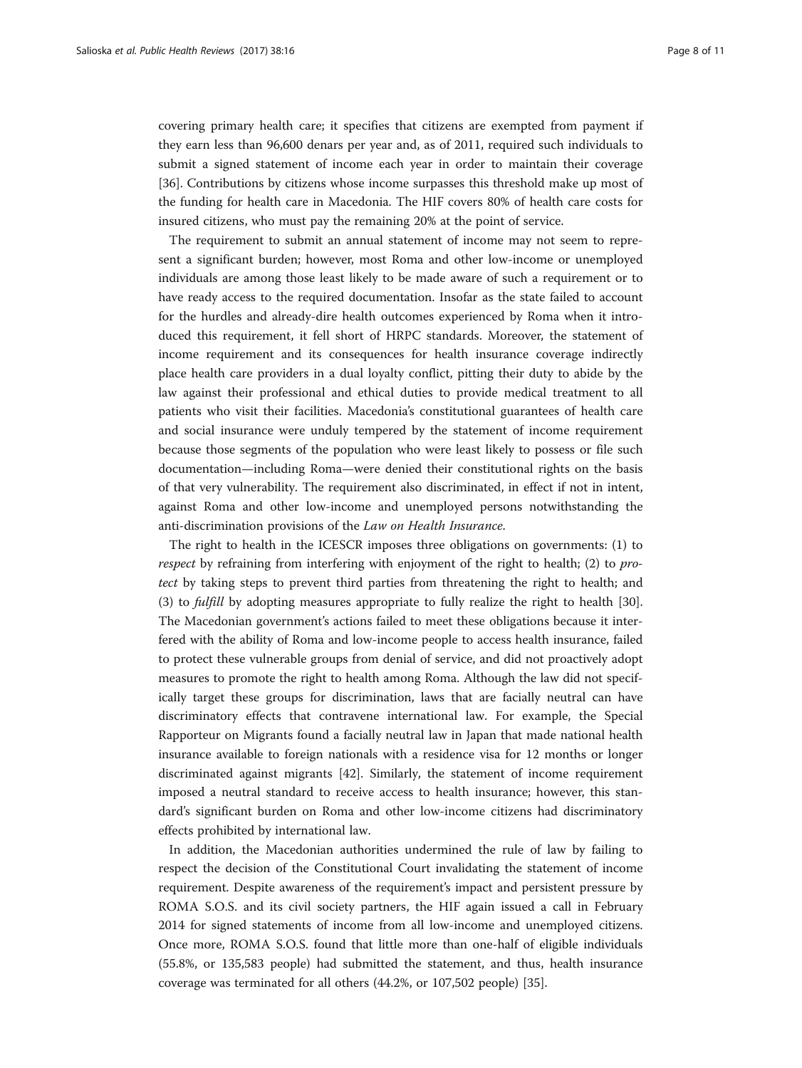covering primary health care; it specifies that citizens are exempted from payment if they earn less than 96,600 denars per year and, as of 2011, required such individuals to submit a signed statement of income each year in order to maintain their coverage [[36\]](#page-10-0). Contributions by citizens whose income surpasses this threshold make up most of the funding for health care in Macedonia. The HIF covers 80% of health care costs for insured citizens, who must pay the remaining 20% at the point of service.

The requirement to submit an annual statement of income may not seem to represent a significant burden; however, most Roma and other low-income or unemployed individuals are among those least likely to be made aware of such a requirement or to have ready access to the required documentation. Insofar as the state failed to account for the hurdles and already-dire health outcomes experienced by Roma when it introduced this requirement, it fell short of HRPC standards. Moreover, the statement of income requirement and its consequences for health insurance coverage indirectly place health care providers in a dual loyalty conflict, pitting their duty to abide by the law against their professional and ethical duties to provide medical treatment to all patients who visit their facilities. Macedonia's constitutional guarantees of health care and social insurance were unduly tempered by the statement of income requirement because those segments of the population who were least likely to possess or file such documentation—including Roma—were denied their constitutional rights on the basis of that very vulnerability. The requirement also discriminated, in effect if not in intent, against Roma and other low-income and unemployed persons notwithstanding the anti-discrimination provisions of the Law on Health Insurance.

The right to health in the ICESCR imposes three obligations on governments: (1) to respect by refraining from interfering with enjoyment of the right to health; (2) to protect by taking steps to prevent third parties from threatening the right to health; and (3) to fulfill by adopting measures appropriate to fully realize the right to health [[30](#page-10-0)]. The Macedonian government's actions failed to meet these obligations because it interfered with the ability of Roma and low-income people to access health insurance, failed to protect these vulnerable groups from denial of service, and did not proactively adopt measures to promote the right to health among Roma. Although the law did not specifically target these groups for discrimination, laws that are facially neutral can have discriminatory effects that contravene international law. For example, the Special Rapporteur on Migrants found a facially neutral law in Japan that made national health insurance available to foreign nationals with a residence visa for 12 months or longer discriminated against migrants [[42\]](#page-10-0). Similarly, the statement of income requirement imposed a neutral standard to receive access to health insurance; however, this standard's significant burden on Roma and other low-income citizens had discriminatory effects prohibited by international law.

In addition, the Macedonian authorities undermined the rule of law by failing to respect the decision of the Constitutional Court invalidating the statement of income requirement. Despite awareness of the requirement's impact and persistent pressure by ROMA S.O.S. and its civil society partners, the HIF again issued a call in February 2014 for signed statements of income from all low-income and unemployed citizens. Once more, ROMA S.O.S. found that little more than one-half of eligible individuals (55.8%, or 135,583 people) had submitted the statement, and thus, health insurance coverage was terminated for all others (44.2%, or 107,502 people) [[35](#page-10-0)].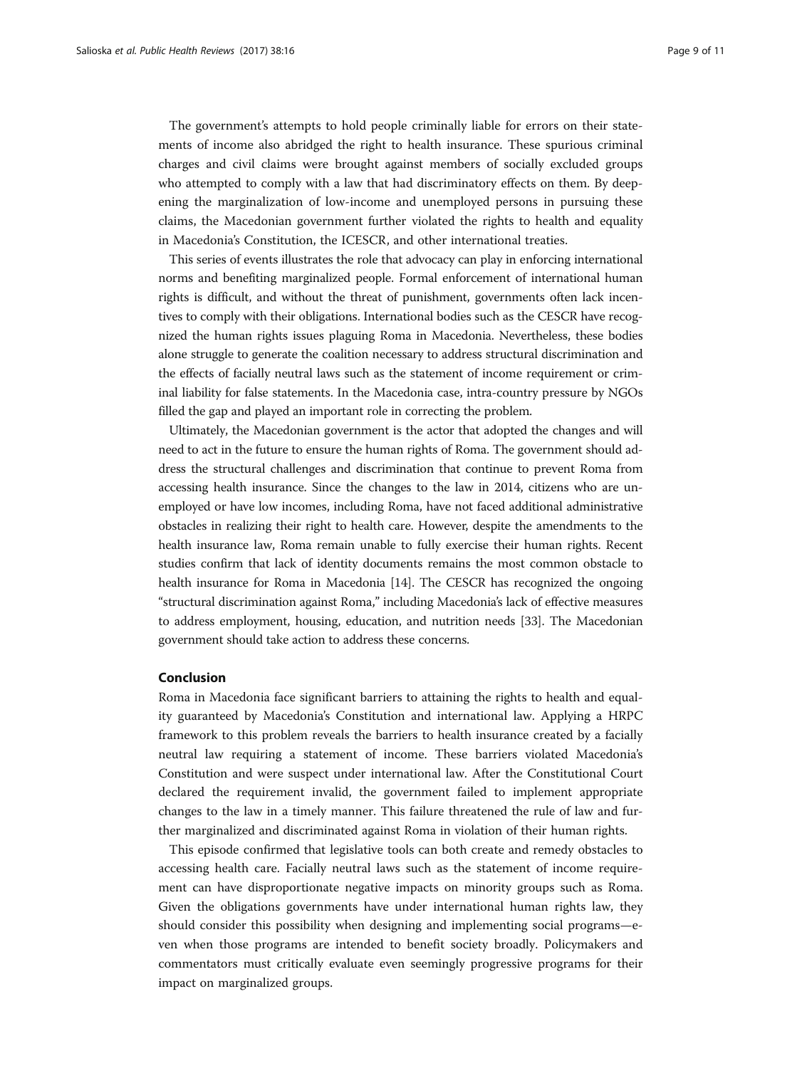The government's attempts to hold people criminally liable for errors on their statements of income also abridged the right to health insurance. These spurious criminal charges and civil claims were brought against members of socially excluded groups who attempted to comply with a law that had discriminatory effects on them. By deepening the marginalization of low-income and unemployed persons in pursuing these claims, the Macedonian government further violated the rights to health and equality in Macedonia's Constitution, the ICESCR, and other international treaties.

This series of events illustrates the role that advocacy can play in enforcing international norms and benefiting marginalized people. Formal enforcement of international human rights is difficult, and without the threat of punishment, governments often lack incentives to comply with their obligations. International bodies such as the CESCR have recognized the human rights issues plaguing Roma in Macedonia. Nevertheless, these bodies alone struggle to generate the coalition necessary to address structural discrimination and the effects of facially neutral laws such as the statement of income requirement or criminal liability for false statements. In the Macedonia case, intra-country pressure by NGOs filled the gap and played an important role in correcting the problem.

Ultimately, the Macedonian government is the actor that adopted the changes and will need to act in the future to ensure the human rights of Roma. The government should address the structural challenges and discrimination that continue to prevent Roma from accessing health insurance. Since the changes to the law in 2014, citizens who are unemployed or have low incomes, including Roma, have not faced additional administrative obstacles in realizing their right to health care. However, despite the amendments to the health insurance law, Roma remain unable to fully exercise their human rights. Recent studies confirm that lack of identity documents remains the most common obstacle to health insurance for Roma in Macedonia [\[14\]](#page-10-0). The CESCR has recognized the ongoing "structural discrimination against Roma," including Macedonia's lack of effective measures to address employment, housing, education, and nutrition needs [[33](#page-10-0)]. The Macedonian government should take action to address these concerns.

## Conclusion

Roma in Macedonia face significant barriers to attaining the rights to health and equality guaranteed by Macedonia's Constitution and international law. Applying a HRPC framework to this problem reveals the barriers to health insurance created by a facially neutral law requiring a statement of income. These barriers violated Macedonia's Constitution and were suspect under international law. After the Constitutional Court declared the requirement invalid, the government failed to implement appropriate changes to the law in a timely manner. This failure threatened the rule of law and further marginalized and discriminated against Roma in violation of their human rights.

This episode confirmed that legislative tools can both create and remedy obstacles to accessing health care. Facially neutral laws such as the statement of income requirement can have disproportionate negative impacts on minority groups such as Roma. Given the obligations governments have under international human rights law, they should consider this possibility when designing and implementing social programs—even when those programs are intended to benefit society broadly. Policymakers and commentators must critically evaluate even seemingly progressive programs for their impact on marginalized groups.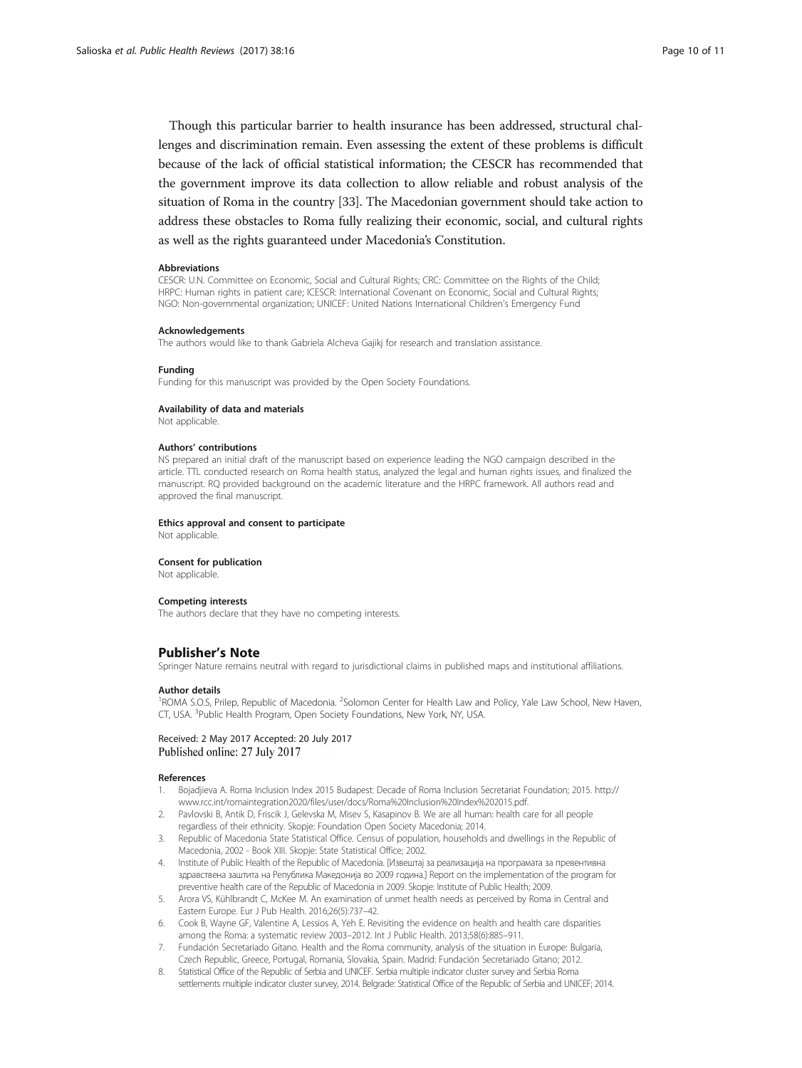<span id="page-9-0"></span>Though this particular barrier to health insurance has been addressed, structural challenges and discrimination remain. Even assessing the extent of these problems is difficult because of the lack of official statistical information; the CESCR has recommended that the government improve its data collection to allow reliable and robust analysis of the situation of Roma in the country [\[33\]](#page-10-0). The Macedonian government should take action to address these obstacles to Roma fully realizing their economic, social, and cultural rights as well as the rights guaranteed under Macedonia's Constitution.

#### Abbreviations

CESCR: U.N. Committee on Economic, Social and Cultural Rights; CRC: Committee on the Rights of the Child; HRPC: Human rights in patient care; ICESCR: International Covenant on Economic, Social and Cultural Rights; NGO: Non-governmental organization; UNICEF: United Nations International Children's Emergency Fund

#### Acknowledgements

The authors would like to thank Gabriela Alcheva Gajikј for research and translation assistance.

#### Funding

Funding for this manuscript was provided by the Open Society Foundations.

#### Availability of data and materials

Not applicable.

#### Authors' contributions

NS prepared an initial draft of the manuscript based on experience leading the NGO campaign described in the article. TTL conducted research on Roma health status, analyzed the legal and human rights issues, and finalized the manuscript. RQ provided background on the academic literature and the HRPC framework. All authors read and approved the final manuscript.

#### Ethics approval and consent to participate

Not applicable.

#### Consent for publication

Not applicable.

#### Competing interests

The authors declare that they have no competing interests.

### Publisher's Note

Springer Nature remains neutral with regard to jurisdictional claims in published maps and institutional affiliations.

#### Author details

<sup>1</sup>ROMA S.O.S, Prilep, Republic of Macedonia. <sup>2</sup>Solomon Center for Health Law and Policy, Yale Law School, New Haven, CT, USA. <sup>3</sup>Public Health Program, Open Society Foundations, New York, NY, USA.

#### Received: 2 May 2017 Accepted: 20 July 2017 Published online: 27 July 2017

#### References

- 1. Bojadjieva A. Roma Inclusion Index 2015 Budapest: Decade of Roma Inclusion Secretariat Foundation; 2015. [http://](http://www.rcc.int/romaintegration2020/files/user/docs/Roma%20Inclusion%20Index%202015.pdf) [www.rcc.int/romaintegration2020/files/user/docs/Roma%20Inclusion%20Index%202015.pdf.](http://www.rcc.int/romaintegration2020/files/user/docs/Roma%20Inclusion%20Index%202015.pdf)
- 2. Pavlovski B, Antik D, Friscik J, Gelevska M, Misev S, Kasapinov B. We are all human: health care for all people regardless of their ethnicity. Skopje: Foundation Open Society Macedonia; 2014.
- 3. Republic of Macedonia State Statistical Office. Census of population, households and dwellings in the Republic of Macedonia, 2002 - Book XIII. Skopje: State Statistical Office; 2002.
- 4. Institute of Public Health of the Republic of Macedonia. [Извештај за реализација на програмата за превентивна здравствена заштита на Република Македонија во 2009 година.] Report on the implementation of the program for preventive health care of the Republic of Macedonia in 2009. Skopje: Institute of Public Health; 2009.
- 5. Arora VS, Kühlbrandt C, McKee M. An examination of unmet health needs as perceived by Roma in Central and Eastern Europe. Eur J Pub Health. 2016;26(5):737–42.
- 6. Cook B, Wayne GF, Valentine A, Lessios A, Yeh E. Revisiting the evidence on health and health care disparities among the Roma: a systematic review 2003–2012. Int J Public Health. 2013;58(6):885–911.
- 7. Fundación Secretariado Gitano. Health and the Roma community, analysis of the situation in Europe: Bulgaria, Czech Republic, Greece, Portugal, Romania, Slovakia, Spain. Madrid: Fundación Secretariado Gitano; 2012.
- 8. Statistical Office of the Republic of Serbia and UNICEF. Serbia multiple indicator cluster survey and Serbia Roma settlements multiple indicator cluster survey, 2014. Belgrade: Statistical Office of the Republic of Serbia and UNICEF; 2014.